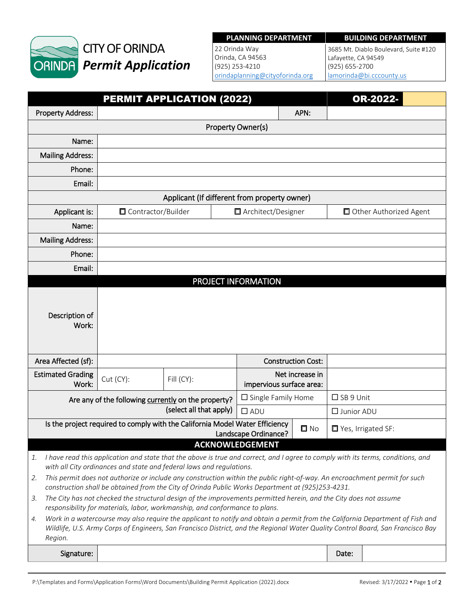

# CITY OF ORINDA *Permit Application*

#### **PLANNING DEPARTMENT BUILDING DEPARTMENT**

22 Orinda Way Orinda, CA 94563 (925) 253-4210 [orindaplanning@cityoforinda.org](mailto:orinda.planning@cityoforinda.org)

3685 Mt. Diablo Boulevard, Suite #120 Lafayette, CA 94549 (925) 655-2700 [lamorinda@bi.cccounty.us](mailto:lamorinda@bi.cccounty.us)

|                                                                                                                                                                                                                                                                                   | PERMIT APPLICATION (2022) |                              |                                             |             |                        | OR-2022-                          |  |  |  |  |
|-----------------------------------------------------------------------------------------------------------------------------------------------------------------------------------------------------------------------------------------------------------------------------------|---------------------------|------------------------------|---------------------------------------------|-------------|------------------------|-----------------------------------|--|--|--|--|
| <b>Property Address:</b>                                                                                                                                                                                                                                                          | APN:                      |                              |                                             |             |                        |                                   |  |  |  |  |
|                                                                                                                                                                                                                                                                                   | Property Owner(s)         |                              |                                             |             |                        |                                   |  |  |  |  |
| Name:                                                                                                                                                                                                                                                                             |                           |                              |                                             |             |                        |                                   |  |  |  |  |
| <b>Mailing Address:</b>                                                                                                                                                                                                                                                           |                           |                              |                                             |             |                        |                                   |  |  |  |  |
| Phone:                                                                                                                                                                                                                                                                            |                           |                              |                                             |             |                        |                                   |  |  |  |  |
| Email:                                                                                                                                                                                                                                                                            |                           |                              |                                             |             |                        |                                   |  |  |  |  |
| Applicant (If different from property owner)                                                                                                                                                                                                                                      |                           |                              |                                             |             |                        |                                   |  |  |  |  |
| Applicant is:                                                                                                                                                                                                                                                                     | □ Contractor/Builder      |                              | □ Architect/Designer                        |             | Other Authorized Agent |                                   |  |  |  |  |
| Name:                                                                                                                                                                                                                                                                             |                           |                              |                                             |             |                        |                                   |  |  |  |  |
| <b>Mailing Address:</b>                                                                                                                                                                                                                                                           |                           |                              |                                             |             |                        |                                   |  |  |  |  |
| Phone:                                                                                                                                                                                                                                                                            |                           |                              |                                             |             |                        |                                   |  |  |  |  |
| Email:                                                                                                                                                                                                                                                                            |                           |                              |                                             |             |                        |                                   |  |  |  |  |
|                                                                                                                                                                                                                                                                                   | PROJECT INFORMATION       |                              |                                             |             |                        |                                   |  |  |  |  |
| Description of<br>Work:                                                                                                                                                                                                                                                           |                           |                              |                                             |             |                        |                                   |  |  |  |  |
| Area Affected (sf):                                                                                                                                                                                                                                                               | <b>Construction Cost:</b> |                              |                                             |             |                        |                                   |  |  |  |  |
| <b>Estimated Grading</b><br>Work:                                                                                                                                                                                                                                                 | Cut (CY):                 | Fill (CY):                   | Net increase in<br>impervious surface area: |             |                        |                                   |  |  |  |  |
| Are any of the following currently on the property?<br>(select all that apply)                                                                                                                                                                                                    |                           | $\square$ Single Family Home |                                             | □ SB 9 Unit |                        |                                   |  |  |  |  |
|                                                                                                                                                                                                                                                                                   |                           |                              | $\Box$ ADU                                  |             | □ Junior ADU           |                                   |  |  |  |  |
| Is the project required to comply with the California Model Water Efficiency<br>$\square$ No<br>Landscape Ordinance?                                                                                                                                                              |                           |                              |                                             |             |                        | $\blacksquare$ Yes, Irrigated SF: |  |  |  |  |
|                                                                                                                                                                                                                                                                                   |                           |                              | <b>ACKNOWLEDGEMENT</b>                      |             |                        |                                   |  |  |  |  |
| I have read this application and state that the above is true and correct, and I agree to comply with its terms, conditions, and<br>1.<br>with all City ordinances and state and federal laws and regulations.                                                                    |                           |                              |                                             |             |                        |                                   |  |  |  |  |
| This permit does not authorize or include any construction within the public right-of-way. An encroachment permit for such<br>2.<br>construction shall be obtained from the City of Orinda Public Works Department at (925)253-4231.                                              |                           |                              |                                             |             |                        |                                   |  |  |  |  |
| The City has not checked the structural design of the improvements permitted herein, and the City does not assume<br>3.<br>responsibility for materials, labor, workmanship, and conformance to plans.                                                                            |                           |                              |                                             |             |                        |                                   |  |  |  |  |
| Work in a watercourse may also require the applicant to notify and obtain a permit from the California Department of Fish and<br>4.<br>Wildlife, U.S. Army Corps of Engineers, San Francisco District, and the Regional Water Quality Control Board, San Francisco Bay<br>Region. |                           |                              |                                             |             |                        |                                   |  |  |  |  |
| Signature:                                                                                                                                                                                                                                                                        |                           |                              |                                             |             | Date:                  |                                   |  |  |  |  |